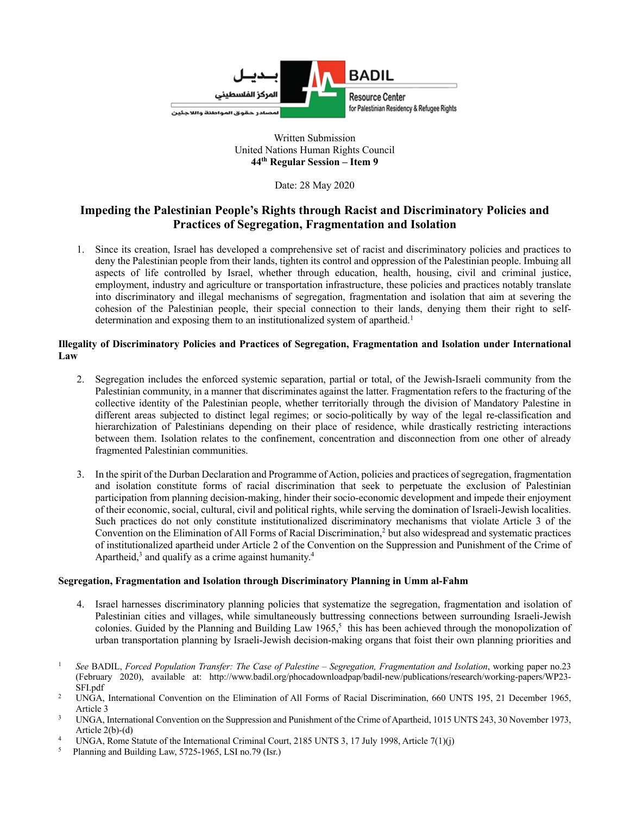

# Written Submission United Nations Human Rights Council **44th Regular Session – Item 9**

Date: 28 May 2020

# **Impeding the Palestinian People's Rights through Racist and Discriminatory Policies and Practices of Segregation, Fragmentation and Isolation**

1. Since its creation, Israel has developed a comprehensive set of racist and discriminatory policies and practices to deny the Palestinian people from their lands, tighten its control and oppression of the Palestinian people. Imbuing all aspects of life controlled by Israel, whether through education, health, housing, civil and criminal justice, employment, industry and agriculture or transportation infrastructure, these policies and practices notably translate into discriminatory and illegal mechanisms of segregation, fragmentation and isolation that aim at severing the cohesion of the Palestinian people, their special connection to their lands, denying them their right to selfdetermination and exposing them to an institutionalized system of apartheid.<sup>1</sup>

# **Illegality of Discriminatory Policies and Practices of Segregation, Fragmentation and Isolation under International Law**

- 2. Segregation includes the enforced systemic separation, partial or total, of the Jewish-Israeli community from the Palestinian community, in a manner that discriminates against the latter. Fragmentation refers to the fracturing of the collective identity of the Palestinian people, whether territorially through the division of Mandatory Palestine in different areas subjected to distinct legal regimes; or socio-politically by way of the legal re-classification and hierarchization of Palestinians depending on their place of residence, while drastically restricting interactions between them. Isolation relates to the confinement, concentration and disconnection from one other of already fragmented Palestinian communities.
- 3. In the spirit of the Durban Declaration and Programme of Action, policies and practices of segregation, fragmentation and isolation constitute forms of racial discrimination that seek to perpetuate the exclusion of Palestinian participation from planning decision-making, hinder their socio-economic development and impede their enjoyment of their economic, social, cultural, civil and political rights, while serving the domination of Israeli-Jewish localities. Such practices do not only constitute institutionalized discriminatory mechanisms that violate Article 3 of the Convention on the Elimination of All Forms of Racial Discrimination,<sup>2</sup> but also widespread and systematic practices of institutionalized apartheid under Article 2 of the Convention on the Suppression and Punishment of the Crime of Apartheid, $3$  and qualify as a crime against humanity.<sup>4</sup>

### **Segregation, Fragmentation and Isolation through Discriminatory Planning in Umm al-Fahm**

- 4. Israel harnesses discriminatory planning policies that systematize the segregation, fragmentation and isolation of Palestinian cities and villages, while simultaneously buttressing connections between surrounding Israeli-Jewish colonies. Guided by the Planning and Building Law 1965,<sup>5</sup> this has been achieved through the monopolization of urban transportation planning by Israeli-Jewish decision-making organs that foist their own planning priorities and
- <sup>1</sup> *See* BADIL, *Forced Population Transfer: The Case of Palestine – Segregation, Fragmentation and Isolation*, working paper no.23 (February 2020), available at: http://www.badil.org/phocadownloadpap/badil-new/publications/research/working-papers/WP23- SFI.pdf
- <sup>2</sup> UNGA, International Convention on the Elimination of All Forms of Racial Discrimination, 660 UNTS 195, 21 December 1965, Article 3
- <sup>3</sup> UNGA, International Convention on the Suppression and Punishment of the Crime of Apartheid, 1015 UNTS 243, 30 November 1973, Article 2(b)-(d)
- <sup>4</sup> UNGA, Rome Statute of the International Criminal Court, 2185 UNTS 3, 17 July 1998, Article 7(1)(j)<br><sup>5</sup> Planning and Building I aw 5725-1965. I SI no 79 (Jer.)
- 5 Planning and Building Law, 5725-1965, LSI no.79 (Isr.)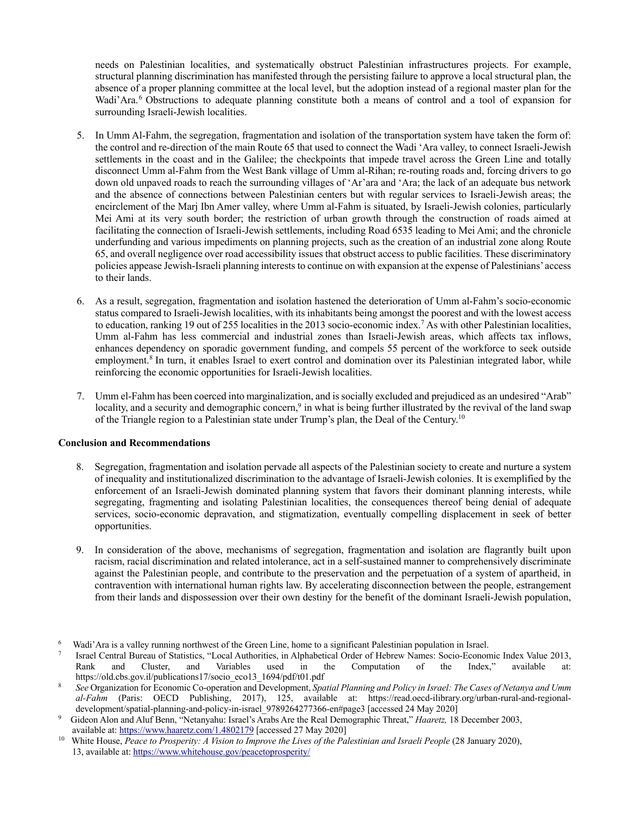needs on Palestinian localities, and systematically obstruct Palestinian infrastructures projects. For example, structural planning discrimination has manifested through the persisting failure to approve a local structural plan, the absence of a proper planning committee at the local level, but the adoption instead of a regional master plan for the Wadi'Ara.<sup>6</sup> Obstructions to adequate planning constitute both a means of control and a tool of expansion for surrounding Israeli-Jewish localities.

- 5. In Umm Al-Fahm, the segregation, fragmentation and isolation of the transportation system have taken the form of: the control and re-direction of the main Route 65 that used to connect the Wadi 'Ara valley, to connect Israeli-Jewish settlements in the coast and in the Galilee; the checkpoints that impede travel across the Green Line and totally disconnect Umm al-Fahm from the West Bank village of Umm al-Rihan; re-routing roads and, forcing drivers to go down old unpaved roads to reach the surrounding villages of 'Ar'ara and 'Ara; the lack of an adequate bus network and the absence of connections between Palestinian centers but with regular services to Israeli-Jewish areas; the encirclement of the Marj Ibn Amer valley, where Umm al-Fahm is situated, by Israeli-Jewish colonies, particularly Mei Ami at its very south border; the restriction of urban growth through the construction of roads aimed at facilitating the connection of Israeli-Jewish settlements, including Road 6535 leading to Mei Ami; and the chronicle underfunding and various impediments on planning projects, such as the creation of an industrial zone along Route 65, and overall negligence over road accessibility issues that obstruct access to public facilities. These discriminatory policies appease Jewish-Israeli planning interests to continue on with expansion at the expense of Palestinians' access to their lands.
- 6. As a result, segregation, fragmentation and isolation hastened the deterioration of Umm al-Fahm's socio-economic status compared to Israeli-Jewish localities, with its inhabitants being amongst the poorest and with the lowest access to education, ranking 19 out of 255 localities in the 2013 socio-economic index.7 As with other Palestinian localities, Umm al-Fahm has less commercial and industrial zones than Israeli-Jewish areas, which affects tax inflows, enhances dependency on sporadic government funding, and compels 55 percent of the workforce to seek outside employment.<sup>8</sup> In turn, it enables Israel to exert control and domination over its Palestinian integrated labor, while reinforcing the economic opportunities for Israeli-Jewish localities.
- 7. Umm el-Fahm has been coerced into marginalization, and is socially excluded and prejudiced as an undesired "Arab" locality, and a security and demographic concern,<sup>9</sup> in what is being further illustrated by the revival of the land swap of the Triangle region to a Palestinian state under Trump's plan, the Deal of the Century.10

### **Conclusion and Recommendations**

- 8. Segregation, fragmentation and isolation pervade all aspects of the Palestinian society to create and nurture a system of inequality and institutionalized discrimination to the advantage of Israeli-Jewish colonies. It is exemplified by the enforcement of an Israeli-Jewish dominated planning system that favors their dominant planning interests, while segregating, fragmenting and isolating Palestinian localities, the consequences thereof being denial of adequate services, socio-economic depravation, and stigmatization, eventually compelling displacement in seek of better opportunities.
- 9. In consideration of the above, mechanisms of segregation, fragmentation and isolation are flagrantly built upon racism, racial discrimination and related intolerance, act in a self-sustained manner to comprehensively discriminate against the Palestinian people, and contribute to the preservation and the perpetuation of a system of apartheid, in contravention with international human rights law. By accelerating disconnection between the people, estrangement from their lands and dispossession over their own destiny for the benefit of the dominant Israeli-Jewish population,

Wadi'Ara is a valley running northwest of the Green Line, home to a significant Palestinian population in Israel.<br>
Israel Central Bureau of Statistics, "Local Authorities, in Alphabetical Order of Hebrew Names: Socio-Econo Rank and Cluster, and Variables used in the Computation of the Index," available at: https://old.cbs.gov.il/publications17/socio\_eco13\_1694/pdf/t01.pdf

<sup>8</sup> *See* Organization for Economic Co-operation and Development, *Spatial Planning and Policy in Israel: The Cases of Netanya and Umm al-Fahm* (Paris: OECD Publishing, 2017), 125, available at: https://read.oecd-ilibrary.org/urban-rural-and-regionaldevelopment/spatial-planning-and-policy-in-israel\_9789264277366-en#page3 [accessed 24 May 2020]

<sup>9</sup> Gideon Alon and Aluf Benn, "Netanyahu: Israel's Arabs Are the Real Demographic Threat," *Haaretz,* 18 December 2003, available at: https://www.haaretz.com/1.4802179 [accessed 27 May 2020] 10 White House, *Peace to Prosperity: A Vision to Improve the Lives of the Palestinian and Israeli People* (28 January 2020),

<sup>13,</sup> available at: https://www.whitehouse.gov/peacetoprosperity/